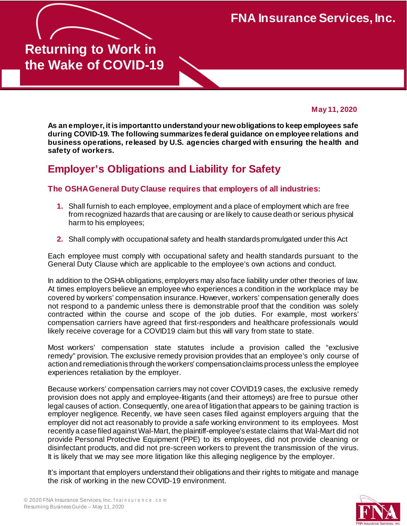**FNA Insurance Services, Inc.**

# **Returning to Work in the Wake of COVID-19**

**May 11, 2020**

**As an employer, it is importantto understandyour newobligations to keep employees safe during COVID-19. The following summarizes federal guidance on employee relations and business operations, released by U.S. agencies charged with ensuring the health and safety of workers.**

# **Employer's Obligations and Liability for Safety**

#### **The OSHA General Duty Clause requires that employers of all industries:**

- **1.** Shall furnish to each employee, employment and a place of employment which are free from recognized hazards that are causing or are likely to cause death or serious physical harm to his employees;
- **2.** Shall comply with occupational safety and health standards promulgated under this Act

Each employee must comply with occupational safety and health standards pursuant to the General Duty Clause which are applicable to the employee's own actions and conduct.

In addition to the OSHA obligations, employers may also face liability under other theories of law. At times employers believe an employee who experiences a condition in the workplace may be covered by workers' compensation insurance. However, workers' compensation generally does not respond to a pandemic unless there is demonstrable proof that the condition was solely contracted within the course and scope of the job duties. For example, most workers' compensation carriers have agreed that first-responders and healthcare professionals would likely receive coverage for a COVID19 claim but this will vary from state to state.

Most workers' compensation state statutes include a provision called the "exclusive remedy" provision. The exclusive remedy provision provides that an employee's only course of action and remediationis through the workers' compensationclaims process unless the employee experiences retaliation by the employer.

Because workers' compensation carriers may not cover COVID19 cases, the exclusive remedy provision does not apply and employee-litigants (and their attorneys) are free to pursue other legal causes of action. Consequently, one area of litigation that appears to be gaining traction is employer negligence. Recently, we have seen cases filed against employers arguing that the employer did not act reasonably to provide a safe working environment to its employees. Most recently a case filed againstWal-Mart, the plaintiff-employee's estate claims that Wal-Mart did not provide Personal Protective Equipment (PPE) to its employees, did not provide cleaning or disinfectant products, and did not pre-screen workers to prevent the transmission of the virus. It is likely that we may see more litigation like this alleging negligence by the employer.

It's important that employers understand their obligations and their rights to mitigate and manage the risk of working in the new COVID-19 environment.

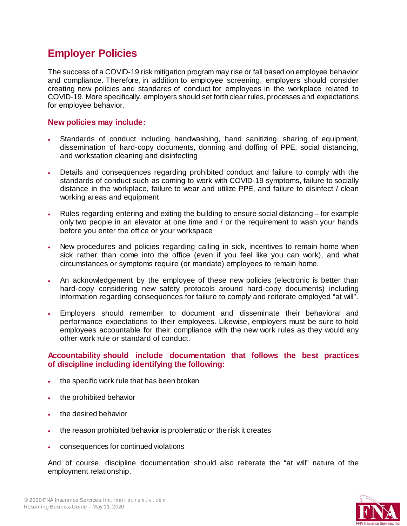### **Employer Policies**

The success of a COVID-19 risk mitigation program may rise or fall based on employee behavior and compliance. Therefore, in addition to employee screening, employers should consider creating new policies and standards of conduct for employees in the workplace related to COVID-19. More specifically, employers should set forth clear rules, processes and expectations for employee behavior.

#### **New policies may include:**

- Standards of conduct including handwashing, hand sanitizing, sharing of equipment, dissemination of hard-copy documents, donning and doffing of PPE, social distancing, and workstation cleaning and disinfecting
- Details and consequences regarding prohibited conduct and failure to comply with the standards of conduct such as coming to work with COVID-19 symptoms, failure to socially distance in the workplace, failure to wear and utilize PPE, and failure to disinfect / clean working areas and equipment
- Rules regarding entering and exiting the building to ensure social distancing for example only two people in an elevator at one time and / or the requirement to wash your hands before you enter the office or your workspace
- New procedures and policies regarding calling in sick, incentives to remain home when sick rather than come into the office (even if you feel like you can work), and what circumstances or symptoms require (or mandate) employees to remain home.
- An acknowledgement by the employee of these new policies (electronic is better than hard-copy considering new safety protocols around hard-copy documents) including information regarding consequences for failure to comply and reiterate employed "at will".
- Employers should remember to document and disseminate their behavioral and performance expectations to their employees. Likewise, employers must be sure to hold employees accountable for their compliance with the new work rules as they would any other work rule or standard of conduct.

#### **Accountability should include documentation that follows the best practices of discipline including identifying the following:**

- the specific work rule that has been broken
- the prohibited behavior
- the desired behavior
- the reason prohibited behavior is problematic or the risk it creates
- consequences for continued violations

And of course, discipline documentation should also reiterate the "at will" nature of the employment relationship.

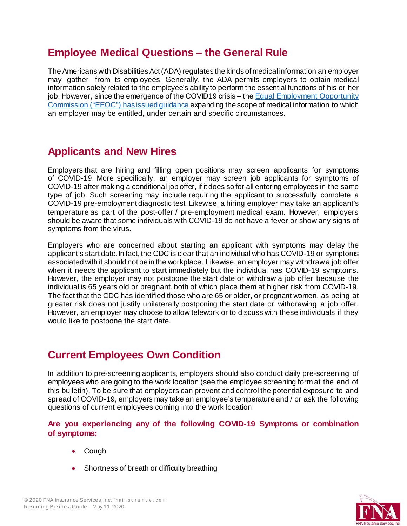### **Employee Medical Questions – the General Rule**

The Americans with Disabilities Act (ADA) regulates the kinds of medical information an employer may gather from its employees. Generally, the ADA permits employers to obtain medical information solely related to the employee's ability to perform the essential functions of his or her job. However, since the emergence of the COVID19 crisis – the Equal [Employment](https://www.eeoc.gov/eeoc/newsroom/wysk/wysk_ada_rehabilitaion_act_coronavirus.cfm) Opportunity Commission ("EEOC") [has issued guidance](https://www.eeoc.gov/eeoc/newsroom/wysk/wysk_ada_rehabilitaion_act_coronavirus.cfm) expanding the scope of medical information to which an employer may be entitled, under certain and specific circumstances.

# **Applicants and New Hires**

Employers that are hiring and filling open positions may screen applicants for symptoms of COVID-19. More specifically, an employer may screen job applicants for symptoms of COVID-19 after making a conditional job offer, if it does so for all entering employees in the same type of job. Such screening may include requiring the applicant to successfully complete a COVID-19 pre-employment diagnostic test. Likewise, a hiring employer may take an applicant's temperature as part of the post-offer / pre-employment medical exam. However, employers should be aware that some individuals with COVID-19 do not have a fever or show any signs of symptoms from the virus.

Employers who are concerned about starting an applicant with symptoms may delay the applicant's start date. In fact, the CDC is clear that an individual who has COVID-19 or symptoms associated with it should not be in the workplace. Likewise, an employer may withdraw a job offer when it needs the applicant to start immediately but the individual has COVID-19 symptoms. However, the employer may not postpone the start date or withdraw a job offer because the individual is 65 years old or pregnant, both of which place them at higher risk from COVID-19. The fact that the CDC has identified those who are 65 or older, or pregnant women, as being at greater risk does not justify unilaterally postponing the start date or withdrawing a job offer. However, an employer may choose to allow telework or to discuss with these individuals if they would like to postpone the start date.

### **Current Employees Own Condition**

In addition to pre-screening applicants, employers should also conduct daily pre-screening of employees who are going to the work location (see the employee screening form at the end of this bulletin). To be sure that employers can prevent and control the potential exposure to and spread of COVID-19, employers may take an employee's temperature and / or ask the following questions of current employees coming into the work location:

#### **Are you experiencing any of the following COVID-19 Symptoms or combination of symptoms:**

- Cough
- Shortness of breath or difficulty breathing

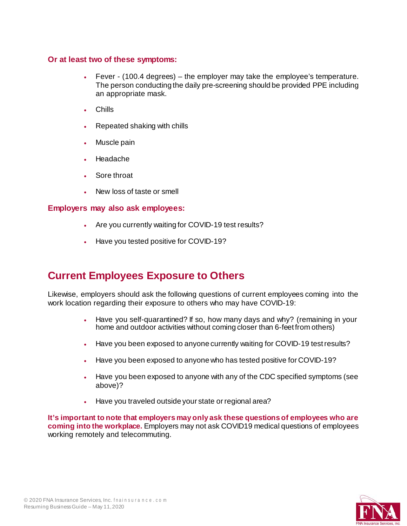#### **Or at least two of these symptoms:**

- Fever (100.4 degrees) the employer may take the employee's temperature. The person conducting the daily pre-screening should be provided PPE including an appropriate mask.
- Chills
- Repeated shaking with chills
- Muscle pain
- Headache
- Sore throat
- New loss of taste or smell

#### **Employers may also ask employees:**

- Are you currently waiting for COVID-19 test results?
- Have you tested positive for COVID-19?

### **Current Employees Exposure to Others**

Likewise, employers should ask the following questions of current employees coming into the work location regarding their exposure to others who may have COVID-19:

- Have you self-quarantined? If so, how many days and why? (remaining in your home and outdoor activities without coming closer than 6-feet from others)
- Have you been exposed to anyone currently waiting for COVID-19 test results?
- Have you been exposed to anyone who has tested positive for COVID-19?
- Have you been exposed to anyone with any of the CDC specified symptoms (see above)?
- Have you traveled outside your state or regional area?

**It's important to note that employers may only ask these questions of employees who are coming into the workplace.** Employers may not ask COVID19 medical questions of employees working remotely and telecommuting.

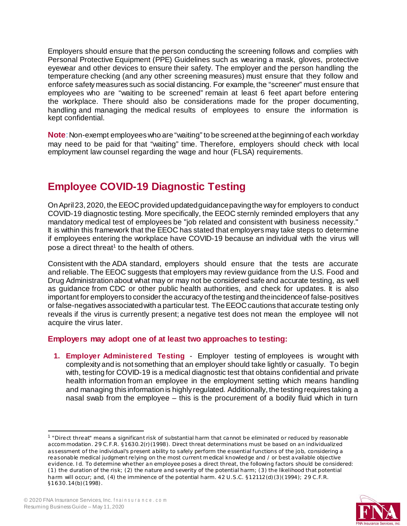Employers should ensure that the person conducting the screening follows and complies with Personal Protective Equipment (PPE) Guidelines such as wearing a mask, gloves, protective eyewear and other devices to ensure their safety. The employer and the person handling the temperature checking (and any other screening measures) must ensure that they follow and enforce safety measures such as social distancing. For example, the "screener" must ensure that employees who are "waiting to be screened" remain at least 6 feet apart before entering the workplace. There should also be considerations made for the proper documenting, handling and managing the medical results of employees to ensure the information is kept confidential.

**Note**: Non-exempt employees who are "waiting" to be screened at the beginning of each workday may need to be paid for that "waiting" time. Therefore, employers should check with local employment law counsel regarding the wage and hour (FLSA) requirements.

# **Employee COVID-19 Diagnostic Testing**

On April 23, 2020, the EEOC provided updated guidance paving the way for employers to conduct COVID-19 diagnostic testing. More specifically, the EEOC sternly reminded employers that any mandatory medical test of employees be "job related and consistent with business necessity." It is within this framework that the EEOC has stated that employers may take steps to determine if employees entering the workplace have COVID-19 because an individual with the virus will pose a direct threat<sup>1</sup> to the health of others.

Consistent with the ADA standard, employers should ensure that the tests are accurate and reliable. The EEOC suggests that employers may review guidance from the U.S. Food and Drug Administration about what may or may not be considered safe and accurate testing, as well as guidance from CDC or other public health authorities, and check for updates. It is also important for employers to consider the accuracy of the testing and theincidenceof false-positives or false-negatives associated with a particular test. TheEEOCcautions that accurate testing only reveals if the virus is currently present; a negative test does not mean the employee will not acquire the virus later.

#### **Employers may adopt one of at least two approaches to testing:**

**1. Employer Administered Testing** - Employer testing of employees is wrought with complexity and is not something that an employer should take lightly or casually. To begin with, testing for COVID-19 is a medical diagnostic test that obtains confidential and private health information from an employee in the employment setting which means handling and managing this information is highly regulated. Additionally, the testing requires taking a nasal swab from the employee – this is the procurement of a bodily fluid which in turn

<span id="page-4-0"></span><sup>1</sup>"Direct threat" means a significant risk of substantial harm that cannot be eliminated or reduced by reasonable accommodation. 29 C.F.R. §1630.2(r)(1998). Direct threat determinations must be based on an individualized assessment of the individual's present ability to safely perform the essential functions of the job, considering a reasonable medical judgment relying on the most current m edical knowledge and / or best available objective evidence. Id. To determine whe ther an employee poses a direct threat, the following factors should be considered: (1) the duration of the risk; (2) the nature and severity of the potential harm; (3) the likelihood that potential harm will occur; and, (4) the imminence of the potential harm. 42 U.S.C. §12112(d)(3)(1994); 29 C.F.R. §1630.14(b)(1998).

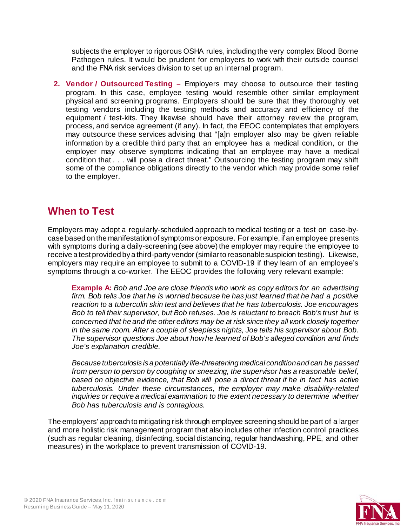subjects the employer to rigorous OSHA rules, including the very complex Blood Borne Pathogen rules. It would be prudent for employers to work with their outside counsel and the FNA risk services division to set up an internal program.

**2. Vendor / Outsourced Testing –** Employers may choose to outsource their testing program. In this case, employee testing would resemble other similar employment physical and screening programs. Employers should be sure that they thoroughly vet testing vendors including the testing methods and accuracy and efficiency of the equipment / test-kits. They likewise should have their attorney review the program, process, and service agreement (if any). In fact, the EEOC contemplates that employers may outsource these services advising that "[a]n employer also may be given reliable information by a credible third party that an employee has a medical condition, or the employer may observe symptoms indicating that an employee may have a medical condition that . . . will pose a direct threat." Outsourcing the testing program may shift some of the compliance obligations directly to the vendor which may provide some relief to the employer.

### **When to Test**

Employers may adopt a regularly-scheduled approach to medical testing or a test on case-bycase based on the manifestation of symptoms or exposure. For example, if an employee presents with symptoms during a daily-screening (see above) the employer may require the employee to receive a test provided by a third-party vendor (similarto reasonable suspicion testing). Likewise, employers may require an employee to submit to a COVID-19 if they learn of an employee's symptoms through a co-worker. The EEOC provides the following very relevant example:

**Example A:** *Bob and Joe are close friends who work as copy editors for an advertising firm. Bob tells Joe that he is worried because he has just learned that he had a positive reaction to a tuberculin skin test and believes that he has tuberculosis. Joe encourages Bob to tell their supervisor, but Bob refuses. Joe is reluctant to breach Bob's trust but is concerned that he and the other editors may be at risk since they all work closely together in the same room. After a couple of sleepless nights, Joe tells his supervisor about Bob. The supervisor questions Joe about howhe learned of Bob's alleged condition and finds Joe's explanation credible.*

*Because tuberculosis is a potentially life-threatening medical conditionand can be passed from person to person by coughing or sneezing, the supervisor has a reasonable belief, based on objective evidence, that Bob will pose a direct threat if he in fact has active tuberculosis. Under these circumstances, the employer may make disability-related inquiries or require a medical examination to the extent necessary to determine whether Bob has tuberculosis and is contagious.*

The employers' approach to mitigating risk through employee screening should be part of a larger and more holistic risk management program that also includes other infection control practices (such as regular cleaning, disinfecting, social distancing, regular handwashing, PPE, and other measures) in the workplace to prevent transmission of COVID-19.

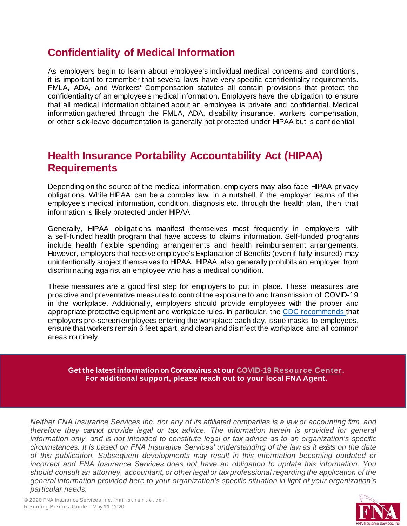### **Confidentiality of Medical Information**

As employers begin to learn about employee's individual medical concerns and conditions, it is important to remember that several laws have very specific confidentiality requirements. FMLA, ADA, and Workers' Compensation statutes all contain provisions that protect the confidentiality of an employee's medical information. Employers have the obligation to ensure that all medical information obtained about an employee is private and confidential. Medical information gathered through the FMLA, ADA, disability insurance, workers compensation, or other sick-leave documentation is generally not protected under HIPAA but is confidential.

### **Health Insurance Portability Accountability Act (HIPAA) Requirements**

Depending on the source of the medical information, employers may also face HIPAA privacy obligations. While HIPAA can be a complex law, in a nutshell, if the employer learns of the employee's medical information, condition, diagnosis etc. through the health plan, then that information is likely protected under HIPAA.

Generally, HIPAA obligations manifest themselves most frequently in employers with a self-funded health program that have access to claims information. Self-funded programs include health flexible spending arrangements and health reimbursement arrangements. However, employers that receive employee's Explanation of Benefits (even if fully insured) may unintentionally subject themselves to HIPAA. HIPAA also generally prohibits an employer from discriminating against an employee who has a medical condition.

These measures are a good first step for employers to put in place. These measures are proactive and preventative measures to control the exposure to and transmission of COVID-19 in the workplace. Additionally, employers should provide employees with the proper and appropriate protective equipment and workplace rules. In particular, the CDC [recommends](https://www.cdc.gov/coronavirus/2019-ncov/community/critical-workers/implementing-safety-practices.html) that employers pre-screen employees entering the workplace each day, issue masks to employees, ensure that workers remain 6 feet apart, and clean and disinfect the workplace and all common areas routinely.

**Get the latest information on Coronavirus at our [COVID-19 Resource Cent](https://www.fnainsurance.com/resources/insights/Insight-News/fna-covid-19-resource-center/?utm_source=outlook&utm_medium=email&utm_campaign=covid-19-email-signature-photo)er. For additional support, please reach out to your local FNA Agent.**

*Neither FNA Insurance Services Inc. nor any of its affiliated companies is a law or accounting firm, and therefore they cannot provide legal or tax advice. The information herein is provided for general information only, and is not intended to constitute legal or tax advice as to an organization's specific circumstances. It is based on FNA Insurance Services' understanding of the law as it exists on the date of this publication. Subsequent developments may result in this information becoming outdated or incorrect and FNA Insurance Services does not have an obligation to update this information. You should consult an attorney, accountant, or other legal or tax professional regarding the application of the general information provided here to your organization's specific situation in light of your organization's particular needs.*

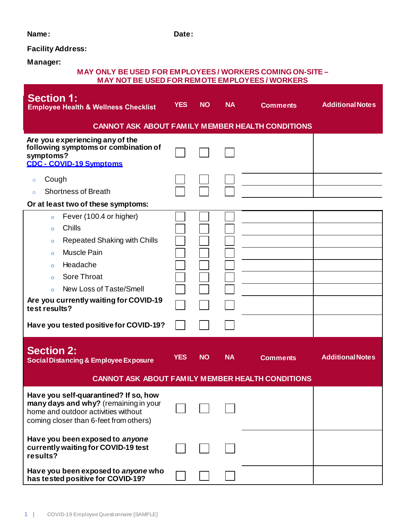#### **Name: Date:**

#### **Facility Address:**

**Manager:**

#### **MAY ONLY BE USED FOR EMPLOYEES / WORKERS COMINGON-SITE – MAY NOT BE USED FOR REMOTE EMPLOYEES / WORKERS**

| <b>Section 1:</b><br><b>Employee Health &amp; Wellness Checklist</b>                                                                                                                                                                                                                                                                           | <b>YES</b> | <b>NO</b> | <b>NA</b> | <b>Comments</b> | <b>Additional Notes</b> |  |  |  |  |
|------------------------------------------------------------------------------------------------------------------------------------------------------------------------------------------------------------------------------------------------------------------------------------------------------------------------------------------------|------------|-----------|-----------|-----------------|-------------------------|--|--|--|--|
| <b>CANNOT ASK ABOUT FAMILY MEMBER HEALTH CONDITIONS</b>                                                                                                                                                                                                                                                                                        |            |           |           |                 |                         |  |  |  |  |
| Are you experiencing any of the<br>following symptoms or combination of<br>symptoms?<br><b>CDC - COVID-19 Symptoms</b>                                                                                                                                                                                                                         |            |           |           |                 |                         |  |  |  |  |
| Cough<br>$\circ$<br><b>Shortness of Breath</b><br>$\circ$<br>Or at least two of these symptoms:                                                                                                                                                                                                                                                |            |           |           |                 |                         |  |  |  |  |
| Fever (100.4 or higher)<br>$\circ$<br>Chills<br>$\circ$<br><b>Repeated Shaking with Chills</b><br>$\circ$<br><b>Muscle Pain</b><br>$\circ$<br>Headache<br>$\circ$<br><b>Sore Throat</b><br>$\circ$<br>New Loss of Taste/Smell<br>$\Omega$<br>Are you currently waiting for COVID-19<br>test results?<br>Have you tested positive for COVID-19? |            |           |           |                 |                         |  |  |  |  |
| <b>Section 2:</b><br><b>Social Distancing &amp; Employee Exposure</b>                                                                                                                                                                                                                                                                          | <b>YES</b> | <b>NO</b> | <b>NA</b> | <b>Comments</b> | <b>Additional Notes</b> |  |  |  |  |
| <b>CANNOT ASK ABOUT FAMILY MEMBER HEALTH CONDITIONS</b>                                                                                                                                                                                                                                                                                        |            |           |           |                 |                         |  |  |  |  |
| Have you self-quarantined? If so, how<br>many days and why? (remaining in your<br>home and outdoor activities without<br>coming closer than 6-feet from others)                                                                                                                                                                                |            |           |           |                 |                         |  |  |  |  |
| Have you been exposed to anyone<br>currently waiting for COVID-19 test<br>results?                                                                                                                                                                                                                                                             |            |           |           |                 |                         |  |  |  |  |
| Have you been exposed to anyone who<br>has tested positive for COVID-19?                                                                                                                                                                                                                                                                       |            |           |           |                 |                         |  |  |  |  |